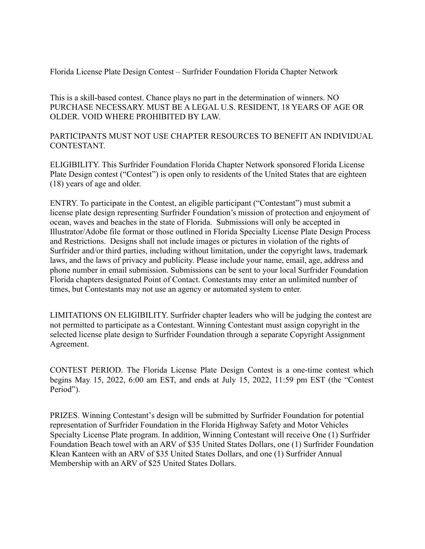Florida License Plate Design Contest – Surfrider Foundation Florida Chapter Network

This is a skill-based contest. Chance plays no part in the determination of winners. NO PURCHASE NECESSARY. MUST BE A LEGAL U.S. RESIDENT, 18 YEARS OF AGE OR OLDER. VOID WHERE PROHIBITED BY LAW.

PARTICIPANTS MUST NOT USE CHAPTER RESOURCES TO BENEFIT AN INDIVIDUAL CONTESTANT.

ELIGIBILITY. This Surfrider Foundation Florida Chapter Network sponsored Florida License Plate Design contest ("Contest") is open only to residents of the United States that are eighteen (18) years of age and older.

ENTRY. To participate in the Contest, an eligible participant ("Contestant") must submit a license plate design representing Surfrider Foundation's mission of protection and enjoyment of ocean, waves and beaches in the state of Florida. Submissions will only be accepted in Illustrator/Adobe file format or those outlined in Florida Specialty License Plate Design Process and Restrictions. Designs shall not include images or pictures in violation of the rights of Surfrider and/or third parties, including without limitation, under the copyright laws, trademark laws, and the laws of privacy and publicity. Please include your name, email, age, address and phone number in email submission. Submissions can be sent to your local Surfrider Foundation Florida chapters designated Point of Contact. Contestants may enter an unlimited number of times, but Contestants may not use an agency or automated system to enter.

LIMITATIONS ON ELIGIBILITY. Surfrider chapter leaders who will be judging the contest are not permitted to participate as a Contestant. Winning Contestant must assign copyright in the selected license plate design to Surfrider Foundation through a separate Copyright Assignment Agreement.

CONTEST PERIOD. The Florida License Plate Design Contest is a one-time contest which begins May 15, 2022, 6:00 am EST, and ends at July 15, 2022, 11:59 pm EST (the "Contest Period").

PRIZES. Winning Contestant's design will be submitted by Surfrider Foundation for potential representation of Surfrider Foundation in the Florida Highway Safety and Motor Vehicles Specialty License Plate program. In addition, Winning Contestant will receive One (1) Surfrider Foundation Beach towel with an ARV of \$35 United States Dollars, one (1) Surfrider Foundation Klean Kanteen with an ARV of \$35 United States Dollars, and one (1) Surfrider Annual Membership with an ARV of \$25 United States Dollars.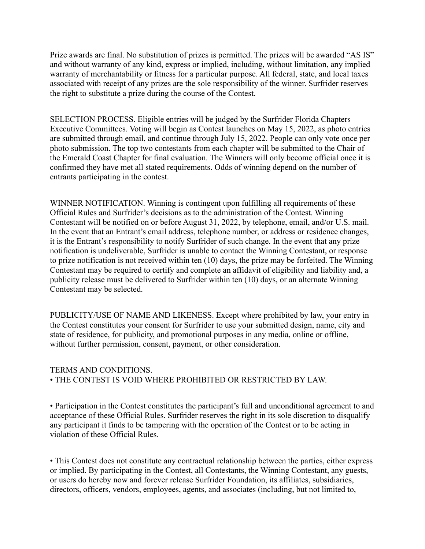Prize awards are final. No substitution of prizes is permitted. The prizes will be awarded "AS IS" and without warranty of any kind, express or implied, including, without limitation, any implied warranty of merchantability or fitness for a particular purpose. All federal, state, and local taxes associated with receipt of any prizes are the sole responsibility of the winner. Surfrider reserves the right to substitute a prize during the course of the Contest.

SELECTION PROCESS. Eligible entries will be judged by the Surfrider Florida Chapters Executive Committees. Voting will begin as Contest launches on May 15, 2022, as photo entries are submitted through email, and continue through July 15, 2022. People can only vote once per photo submission. The top two contestants from each chapter will be submitted to the Chair of the Emerald Coast Chapter for final evaluation. The Winners will only become official once it is confirmed they have met all stated requirements. Odds of winning depend on the number of entrants participating in the contest.

WINNER NOTIFICATION. Winning is contingent upon fulfilling all requirements of these Official Rules and Surfrider's decisions as to the administration of the Contest. Winning Contestant will be notified on or before August 31, 2022, by telephone, email, and/or U.S. mail. In the event that an Entrant's email address, telephone number, or address or residence changes, it is the Entrant's responsibility to notify Surfrider of such change. In the event that any prize notification is undeliverable, Surfrider is unable to contact the Winning Contestant, or response to prize notification is not received within ten (10) days, the prize may be forfeited. The Winning Contestant may be required to certify and complete an affidavit of eligibility and liability and, a publicity release must be delivered to Surfrider within ten (10) days, or an alternate Winning Contestant may be selected.

PUBLICITY/USE OF NAME AND LIKENESS. Except where prohibited by law, your entry in the Contest constitutes your consent for Surfrider to use your submitted design, name, city and state of residence, for publicity, and promotional purposes in any media, online or offline, without further permission, consent, payment, or other consideration.

## TERMS AND CONDITIONS. • THE CONTEST IS VOID WHERE PROHIBITED OR RESTRICTED BY LAW.

• Participation in the Contest constitutes the participant's full and unconditional agreement to and acceptance of these Official Rules. Surfrider reserves the right in its sole discretion to disqualify any participant it finds to be tampering with the operation of the Contest or to be acting in violation of these Official Rules.

• This Contest does not constitute any contractual relationship between the parties, either express or implied. By participating in the Contest, all Contestants, the Winning Contestant, any guests, or users do hereby now and forever release Surfrider Foundation, its affiliates, subsidiaries, directors, officers, vendors, employees, agents, and associates (including, but not limited to,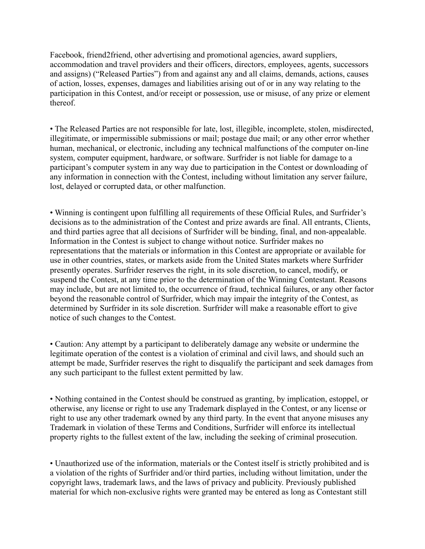Facebook, friend2friend, other advertising and promotional agencies, award suppliers, accommodation and travel providers and their officers, directors, employees, agents, successors and assigns) ("Released Parties") from and against any and all claims, demands, actions, causes of action, losses, expenses, damages and liabilities arising out of or in any way relating to the participation in this Contest, and/or receipt or possession, use or misuse, of any prize or element thereof.

• The Released Parties are not responsible for late, lost, illegible, incomplete, stolen, misdirected, illegitimate, or impermissible submissions or mail; postage due mail; or any other error whether human, mechanical, or electronic, including any technical malfunctions of the computer on-line system, computer equipment, hardware, or software. Surfrider is not liable for damage to a participant's computer system in any way due to participation in the Contest or downloading of any information in connection with the Contest, including without limitation any server failure, lost, delayed or corrupted data, or other malfunction.

• Winning is contingent upon fulfilling all requirements of these Official Rules, and Surfrider's decisions as to the administration of the Contest and prize awards are final. All entrants, Clients, and third parties agree that all decisions of Surfrider will be binding, final, and non-appealable. Information in the Contest is subject to change without notice. Surfrider makes no representations that the materials or information in this Contest are appropriate or available for use in other countries, states, or markets aside from the United States markets where Surfrider presently operates. Surfrider reserves the right, in its sole discretion, to cancel, modify, or suspend the Contest, at any time prior to the determination of the Winning Contestant. Reasons may include, but are not limited to, the occurrence of fraud, technical failures, or any other factor beyond the reasonable control of Surfrider, which may impair the integrity of the Contest, as determined by Surfrider in its sole discretion. Surfrider will make a reasonable effort to give notice of such changes to the Contest.

• Caution: Any attempt by a participant to deliberately damage any website or undermine the legitimate operation of the contest is a violation of criminal and civil laws, and should such an attempt be made, Surfrider reserves the right to disqualify the participant and seek damages from any such participant to the fullest extent permitted by law.

• Nothing contained in the Contest should be construed as granting, by implication, estoppel, or otherwise, any license or right to use any Trademark displayed in the Contest, or any license or right to use any other trademark owned by any third party. In the event that anyone misuses any Trademark in violation of these Terms and Conditions, Surfrider will enforce its intellectual property rights to the fullest extent of the law, including the seeking of criminal prosecution.

• Unauthorized use of the information, materials or the Contest itself is strictly prohibited and is a violation of the rights of Surfrider and/or third parties, including without limitation, under the copyright laws, trademark laws, and the laws of privacy and publicity. Previously published material for which non-exclusive rights were granted may be entered as long as Contestant still